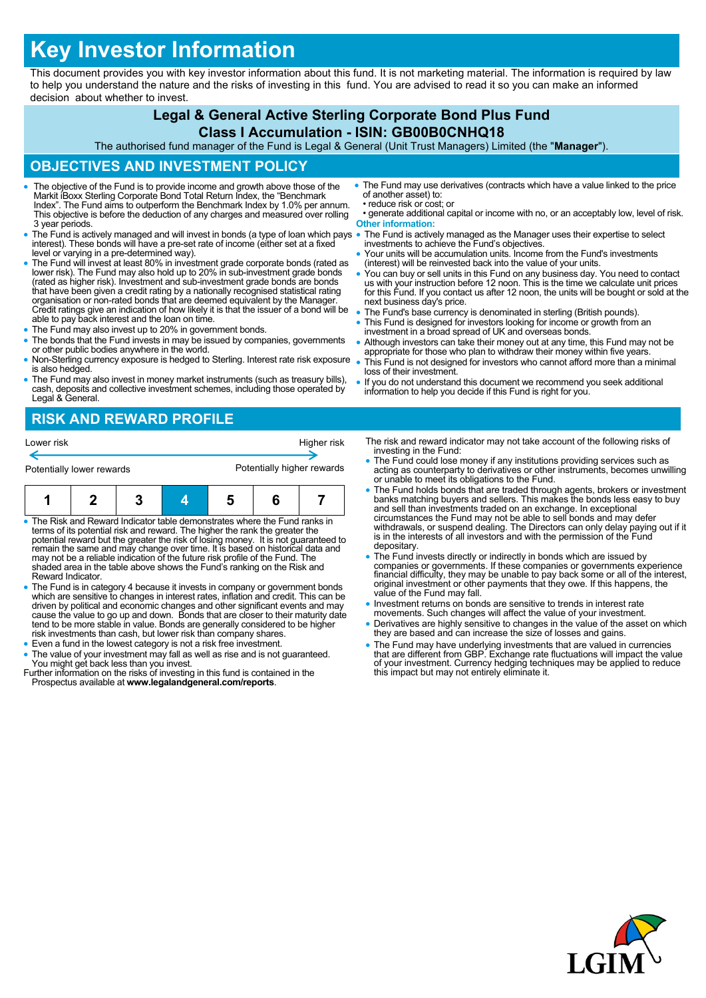# **Key Investor Information**

This document provides you with key investor information about this fund. It is not marketing material. The information is required by law to help you understand the nature and the risks of investing in this fund. You are advised to read it so you can make an informed decision about whether to invest.

# **Legal & General Active Sterling Corporate Bond Plus Fund**

## **Class I Accumulation - ISIN: GB00B0CNHQ18**

The authorised fund manager of the Fund is Legal & General (Unit Trust Managers) Limited (the "**Manager**").

#### **OBJECTIVES AND INVESTMENT POLICY**

- The objective of the Fund is to provide income and growth above those of the Markit iBoxx Sterling Corporate Bond Total Return Index, the "Benchmark Index". The Fund aims to outperform the Benchmark Index by 1.0% per annum. This objective is before the deduction of any charges and measured over rolling 3 year periods.
- The Fund is actively managed and will invest in bonds (a type of loan which pays interest). These bonds will have a pre-set rate of income (either set at a fixed level or varying in a pre-determined way).
- The Fund will invest at least 80% in investment grade corporate bonds (rated as lower risk). The Fund may also hold up to 20% in sub-investment grade bonds (rated as higher risk). Investment and sub-investment grade bonds are bonds that have been given a credit rating by a nationally recognised statistical rating organisation or non-rated bonds that are deemed equivalent by the Manager Credit ratings give an indication of how likely it is that the issuer of a bond will be able to pay back interest and the loan on time.
- The Fund may also invest up to 20% in government bonds.
- The bonds that the Fund invests in may be issued by companies, governments or other public bodies anywhere in the world.
- Non-Sterling currency exposure is hedged to Sterling. Interest rate risk exposure is also hedged.
- The Fund may also invest in money market instruments (such as treasury bills), cash, deposits and collective investment schemes, including those operated by Legal & General.
- The Fund may use derivatives (contracts which have a value linked to the price of another asset) to: • reduce risk or cost; or • generate additional capital or income with no, or an acceptably low, level of risk.
- **Other information:**
- The Fund is actively managed as the Manager uses their expertise to select investments to achieve the Fund's objectives.
- Your units will be accumulation units. Income from the Fund's investments (interest) will be reinvested back into the value of your units.
- You can buy or sell units in this Fund on any business day. You need to contact us with your instruction before 12 noon. This is the time we calculate unit prices for this Fund. If you contact us after 12 noon, the units will be bought or sold at the next business day's price.
- The Fund's base currency is denominated in sterling (British pounds).
- This Fund is designed for investors looking for income or growth from an investment in a broad spread of UK and overseas bonds.
- Although investors can take their money out at any time, this Fund may not be appropriate for those who plan to withdraw their money within five years.
- This Fund is not designed for investors who cannot afford more than a minimal loss of their investment.
- If you do not understand this document we recommend you seek additional information to help you decide if this Fund is right for you.

## **RISK AND REWARD PROFILE**

| Lower risk                                                                                                                                                                                |  |  |  |                            | Higher risk |  |
|-------------------------------------------------------------------------------------------------------------------------------------------------------------------------------------------|--|--|--|----------------------------|-------------|--|
| Potentially lower rewards                                                                                                                                                                 |  |  |  | Potentially higher rewards |             |  |
|                                                                                                                                                                                           |  |  |  |                            |             |  |
| • The Risk and Reward Indicator table demonstrates where the Fund ranks in<br>المتعالم وجودي والمراج والمتحول والمتواطئ والمتارك الموجود والمتحاد والمتواطئ والمتحادين المتاركين والمسروة |  |  |  |                            |             |  |

- terms of its potential risk and reward. The higher the rank the greater the<br>potential reward but the greater the risk of losing money. It is not guaranteed to<br>remain the same and may change over time. It is based on histor may not be a reliable indication of the future risk profile of the Fund. The shaded area in the table above shows the Fund's ranking on the Risk and Reward Indicator.
- The Fund is in category 4 because it invests in company or government bonds<br>which are sensitive to changes in interest rates, inflation and credit. This can be<br>driven by political and economic changes and other significa cause the value to go up and down. Bonds that are closer to their maturity date tend to be more stable in value. Bonds are generally considered to be higher risk investments than cash, but lower risk than company shares.
- Even a fund in the lowest category is not a risk free investment.
- The value of your investment may fall as well as rise and is not guaranteed. You might get back less than you invest. Further information on the risks of investing in this fund is contained in the
- Prospectus available at **www.legalandgeneral.com/reports**.
- The risk and reward indicator may not take account of the following risks of investing in the Fund:
- The Fund could lose money if any institutions providing services such as acting as counterparty to derivatives or other instruments, becomes unwilling or unable to meet its obligations to the Fund.
- The Fund holds bonds that are traded through agents, brokers or investment banks matching buyers and sellers. This makes the bonds less easy to buy and sell than investments traded on an exchange. In exceptional circumstances the Fund may not be able to sell bonds and may defer withdrawals, or suspend dealing. The Directors can only delay paying out if it is in the interests of all investors and with the permission of the Fund depositary.
- The Fund invests directly or indirectly in bonds which are issued by companies or governments. If these companies or governments experience financial difficulty, they may be unable to pay back some or all of the interest, original investment or other payments that they owe. If this happens, the value of the Fund may fall.
- Investment returns on bonds are sensitive to trends in interest rate
- movements. Such changes will affect the value of your investment. Derivatives are highly sensitive to changes in the value of the asset on which they are based and can increase the size of losses and gains.
- The Fund may have underlying investments that are valued in currencies that are different from GBP. Exchange rate fluctuations will impact the value of your investment. Currency hedging techniques may be applied to reduce this impact but may not entirely eliminate it.